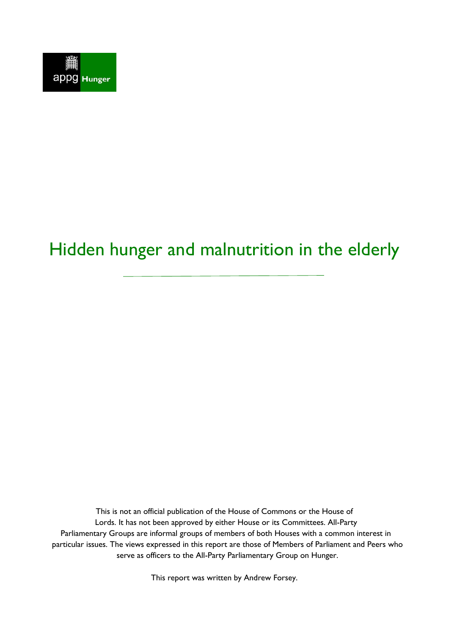

# Hidden hunger and malnutrition in the elderly

This is not an official publication of the House of Commons or the House of Lords. It has not been approved by either House or its Committees. All-Party Parliamentary Groups are informal groups of members of both Houses with a common interest in particular issues. The views expressed in this report are those of Members of Parliament and Peers who serve as officers to the All-Party Parliamentary Group on Hunger.

This report was written by Andrew Forsey.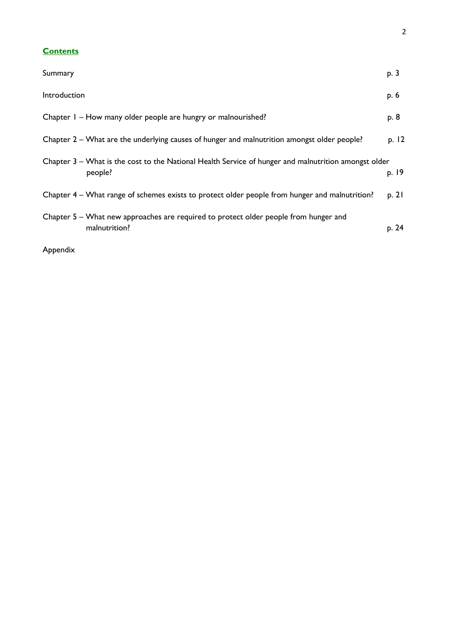## **Contents**

| Summary                                                                                                         | p. 3  |
|-----------------------------------------------------------------------------------------------------------------|-------|
| Introduction                                                                                                    | p. 6  |
| Chapter I - How many older people are hungry or malnourished?                                                   | p. 8  |
| Chapter 2 - What are the underlying causes of hunger and malnutrition amongst older people?                     | p. 12 |
| Chapter 3 – What is the cost to the National Health Service of hunger and malnutrition amongst older<br>people? | p. 19 |
| Chapter 4 – What range of schemes exists to protect older people from hunger and malnutrition?                  | p. 21 |
| Chapter 5 – What new approaches are required to protect older people from hunger and<br>malnutrition?           | p. 24 |

Appendix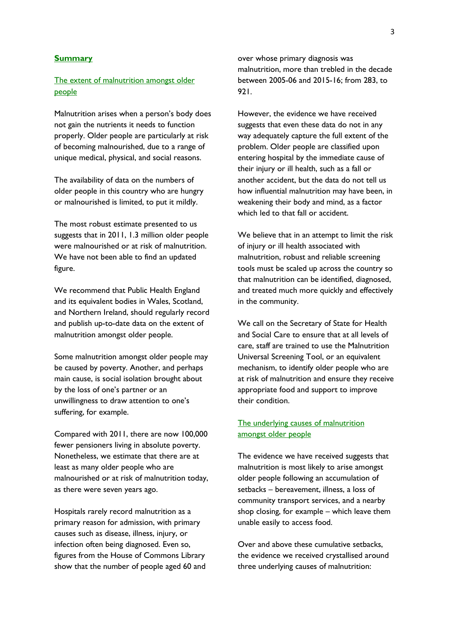#### **Summary**

## The extent of malnutrition amongst older people

Malnutrition arises when a person's body does not gain the nutrients it needs to function properly. Older people are particularly at risk of becoming malnourished, due to a range of unique medical, physical, and social reasons.

The availability of data on the numbers of older people in this country who are hungry or malnourished is limited, to put it mildly.

The most robust estimate presented to us suggests that in 2011, 1.3 million older people were malnourished or at risk of malnutrition. We have not been able to find an updated figure.

We recommend that Public Health England and its equivalent bodies in Wales, Scotland, and Northern Ireland, should regularly record and publish up-to-date data on the extent of malnutrition amongst older people.

Some malnutrition amongst older people may be caused by poverty. Another, and perhaps main cause, is social isolation brought about by the loss of one's partner or an unwillingness to draw attention to one's suffering, for example.

Compared with 2011, there are now 100,000 fewer pensioners living in absolute poverty. Nonetheless, we estimate that there are at least as many older people who are malnourished or at risk of malnutrition today, as there were seven years ago.

Hospitals rarely record malnutrition as a primary reason for admission, with primary causes such as disease, illness, injury, or infection often being diagnosed. Even so, figures from the House of Commons Library show that the number of people aged 60 and over whose primary diagnosis was malnutrition, more than trebled in the decade between 2005-06 and 2015-16; from 283, to  $921.$ 

However, the evidence we have received suggests that even these data do not in any way adequately capture the full extent of the problem. Older people are classified upon entering hospital by the immediate cause of their injury or ill health, such as a fall or another accident, but the data do not tell us how influential malnutrition may have been, in weakening their body and mind, as a factor which led to that fall or accident.

We believe that in an attempt to limit the risk of injury or ill health associated with malnutrition, robust and reliable screening tools must be scaled up across the country so that malnutrition can be identified, diagnosed, and treated much more quickly and effectively in the community.

We call on the Secretary of State for Health and Social Care to ensure that at all levels of care, staff are trained to use the Malnutrition Universal Screening Tool, or an equivalent mechanism, to identify older people who are at risk of malnutrition and ensure they receive appropriate food and support to improve their condition.

## The underlying causes of malnutrition amongst older people

The evidence we have received suggests that malnutrition is most likely to arise amongst older people following an accumulation of setbacks – bereavement, illness, a loss of community transport services, and a nearby shop closing, for example – which leave them unable easily to access food.

Over and above these cumulative setbacks, the evidence we received crystallised around three underlying causes of malnutrition: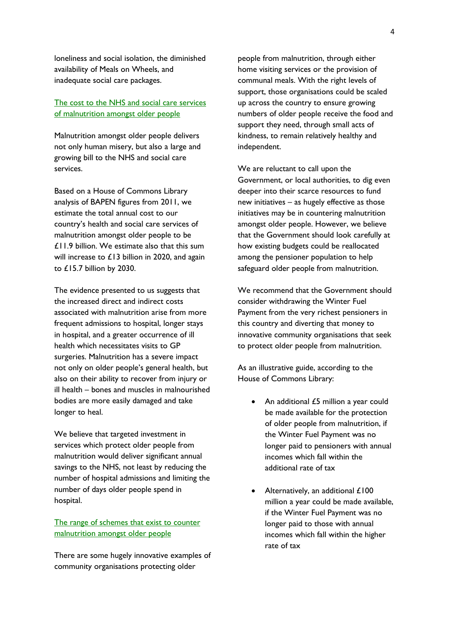loneliness and social isolation, the diminished availability of Meals on Wheels, and inadequate social care packages.

## The cost to the NHS and social care services of malnutrition amongst older people

Malnutrition amongst older people delivers not only human misery, but also a large and growing bill to the NHS and social care services.

Based on a House of Commons Library analysis of BAPEN figures from 2011, we estimate the total annual cost to our country's health and social care services of malnutrition amongst older people to be £11.9 billion. We estimate also that this sum will increase to £13 billion in 2020, and again to £15.7 billion by 2030.

The evidence presented to us suggests that the increased direct and indirect costs associated with malnutrition arise from more frequent admissions to hospital, longer stays in hospital, and a greater occurrence of ill health which necessitates visits to GP surgeries. Malnutrition has a severe impact not only on older people's general health, but also on their ability to recover from injury or ill health – bones and muscles in malnourished bodies are more easily damaged and take longer to heal.

We believe that targeted investment in services which protect older people from malnutrition would deliver significant annual savings to the NHS, not least by reducing the number of hospital admissions and limiting the number of days older people spend in hospital.

The range of schemes that exist to counter malnutrition amongst older people

There are some hugely innovative examples of community organisations protecting older

people from malnutrition, through either home visiting services or the provision of communal meals. With the right levels of support, those organisations could be scaled up across the country to ensure growing numbers of older people receive the food and support they need, through small acts of kindness, to remain relatively healthy and independent.

We are reluctant to call upon the Government, or local authorities, to dig even deeper into their scarce resources to fund new initiatives – as hugely effective as those initiatives may be in countering malnutrition amongst older people. However, we believe that the Government should look carefully at how existing budgets could be reallocated among the pensioner population to help safeguard older people from malnutrition.

We recommend that the Government should consider withdrawing the Winter Fuel Payment from the very richest pensioners in this country and diverting that money to innovative community organisations that seek to protect older people from malnutrition.

As an illustrative guide, according to the House of Commons Library:

- An additional £5 million a year could be made available for the protection of older people from malnutrition, if the Winter Fuel Payment was no longer paid to pensioners with annual incomes which fall within the additional rate of tax
- Alternatively, an additional £100 million a year could be made available, if the Winter Fuel Payment was no longer paid to those with annual incomes which fall within the higher rate of tax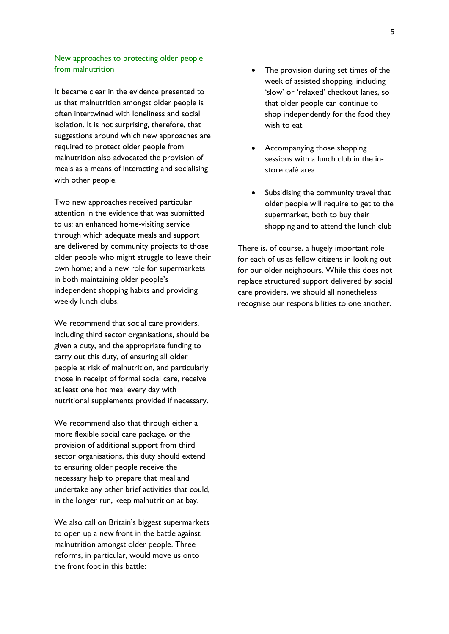## New approaches to protecting older people from malnutrition

It became clear in the evidence presented to us that malnutrition amongst older people is often intertwined with loneliness and social isolation. It is not surprising, therefore, that suggestions around which new approaches are required to protect older people from malnutrition also advocated the provision of meals as a means of interacting and socialising with other people.

Two new approaches received particular attention in the evidence that was submitted to us: an enhanced home-visiting service through which adequate meals and support are delivered by community projects to those older people who might struggle to leave their own home; and a new role for supermarkets in both maintaining older people's independent shopping habits and providing weekly lunch clubs.

We recommend that social care providers, including third sector organisations, should be given a duty, and the appropriate funding to carry out this duty, of ensuring all older people at risk of malnutrition, and particularly those in receipt of formal social care, receive at least one hot meal every day with nutritional supplements provided if necessary.

We recommend also that through either a more flexible social care package, or the provision of additional support from third sector organisations, this duty should extend to ensuring older people receive the necessary help to prepare that meal and undertake any other brief activities that could, in the longer run, keep malnutrition at bay.

We also call on Britain's biggest supermarkets to open up a new front in the battle against malnutrition amongst older people. Three reforms, in particular, would move us onto the front foot in this battle:

- The provision during set times of the week of assisted shopping, including 'slow' or 'relaxed' checkout lanes, so that older people can continue to shop independently for the food they wish to eat
- Accompanying those shopping sessions with a lunch club in the instore café area
- Subsidising the community travel that older people will require to get to the supermarket, both to buy their shopping and to attend the lunch club

There is, of course, a hugely important role for each of us as fellow citizens in looking out for our older neighbours. While this does not replace structured support delivered by social care providers, we should all nonetheless recognise our responsibilities to one another.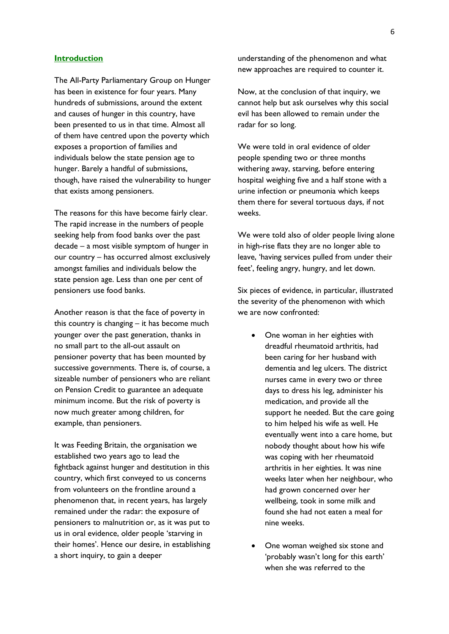#### **Introduction**

The All-Party Parliamentary Group on Hunger has been in existence for four years. Many hundreds of submissions, around the extent and causes of hunger in this country, have been presented to us in that time. Almost all of them have centred upon the poverty which exposes a proportion of families and individuals below the state pension age to hunger. Barely a handful of submissions, though, have raised the vulnerability to hunger that exists among pensioners.

The reasons for this have become fairly clear. The rapid increase in the numbers of people seeking help from food banks over the past decade – a most visible symptom of hunger in our country – has occurred almost exclusively amongst families and individuals below the state pension age. Less than one per cent of pensioners use food banks.

Another reason is that the face of poverty in this country is changing – it has become much younger over the past generation, thanks in no small part to the all-out assault on pensioner poverty that has been mounted by successive governments. There is, of course, a sizeable number of pensioners who are reliant on Pension Credit to guarantee an adequate minimum income. But the risk of poverty is now much greater among children, for example, than pensioners.

It was Feeding Britain, the organisation we established two years ago to lead the fightback against hunger and destitution in this country, which first conveyed to us concerns from volunteers on the frontline around a phenomenon that, in recent years, has largely remained under the radar: the exposure of pensioners to malnutrition or, as it was put to us in oral evidence, older people 'starving in their homes'. Hence our desire, in establishing a short inquiry, to gain a deeper

understanding of the phenomenon and what new approaches are required to counter it.

Now, at the conclusion of that inquiry, we cannot help but ask ourselves why this social evil has been allowed to remain under the radar for so long.

We were told in oral evidence of older people spending two or three months withering away, starving, before entering hospital weighing five and a half stone with a urine infection or pneumonia which keeps them there for several tortuous days, if not weeks.

We were told also of older people living alone in high-rise flats they are no longer able to leave, 'having services pulled from under their feet', feeling angry, hungry, and let down.

Six pieces of evidence, in particular, illustrated the severity of the phenomenon with which we are now confronted:

- One woman in her eighties with dreadful rheumatoid arthritis, had been caring for her husband with dementia and leg ulcers. The district nurses came in every two or three days to dress his leg, administer his medication, and provide all the support he needed. But the care going to him helped his wife as well. He eventually went into a care home, but nobody thought about how his wife was coping with her rheumatoid arthritis in her eighties. It was nine weeks later when her neighbour, who had grown concerned over her wellbeing, took in some milk and found she had not eaten a meal for nine weeks.
- One woman weighed six stone and 'probably wasn't long for this earth' when she was referred to the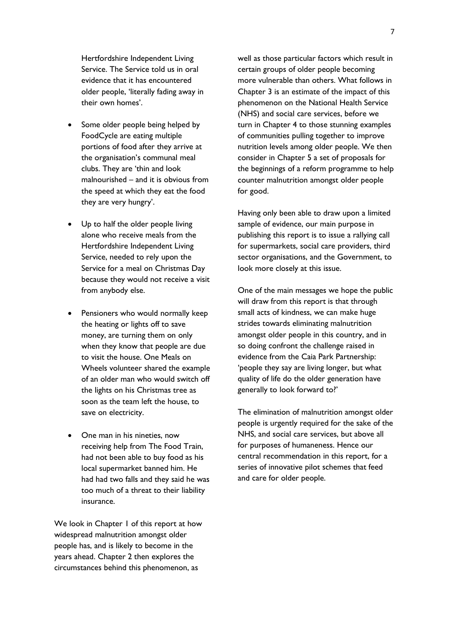Hertfordshire Independent Living Service. The Service told us in oral evidence that it has encountered older people, 'literally fading away in their own homes'.

- Some older people being helped by FoodCycle are eating multiple portions of food after they arrive at the organisation's communal meal clubs. They are 'thin and look malnourished – and it is obvious from the speed at which they eat the food they are very hungry'.
- Up to half the older people living alone who receive meals from the Hertfordshire Independent Living Service, needed to rely upon the Service for a meal on Christmas Day because they would not receive a visit from anybody else.
- Pensioners who would normally keep the heating or lights off to save money, are turning them on only when they know that people are due to visit the house. One Meals on Wheels volunteer shared the example of an older man who would switch off the lights on his Christmas tree as soon as the team left the house, to save on electricity.
- One man in his nineties, now receiving help from The Food Train, had not been able to buy food as his local supermarket banned him. He had had two falls and they said he was too much of a threat to their liability insurance.

We look in Chapter 1 of this report at how widespread malnutrition amongst older people has, and is likely to become in the years ahead. Chapter 2 then explores the circumstances behind this phenomenon, as

well as those particular factors which result in certain groups of older people becoming more vulnerable than others. What follows in Chapter 3 is an estimate of the impact of this phenomenon on the National Health Service (NHS) and social care services, before we turn in Chapter 4 to those stunning examples of communities pulling together to improve nutrition levels among older people. We then consider in Chapter 5 a set of proposals for the beginnings of a reform programme to help counter malnutrition amongst older people for good.

Having only been able to draw upon a limited sample of evidence, our main purpose in publishing this report is to issue a rallying call for supermarkets, social care providers, third sector organisations, and the Government, to look more closely at this issue.

One of the main messages we hope the public will draw from this report is that through small acts of kindness, we can make huge strides towards eliminating malnutrition amongst older people in this country, and in so doing confront the challenge raised in evidence from the Caia Park Partnership: 'people they say are living longer, but what quality of life do the older generation have generally to look forward to?'

The elimination of malnutrition amongst older people is urgently required for the sake of the NHS, and social care services, but above all for purposes of humaneness. Hence our central recommendation in this report, for a series of innovative pilot schemes that feed and care for older people.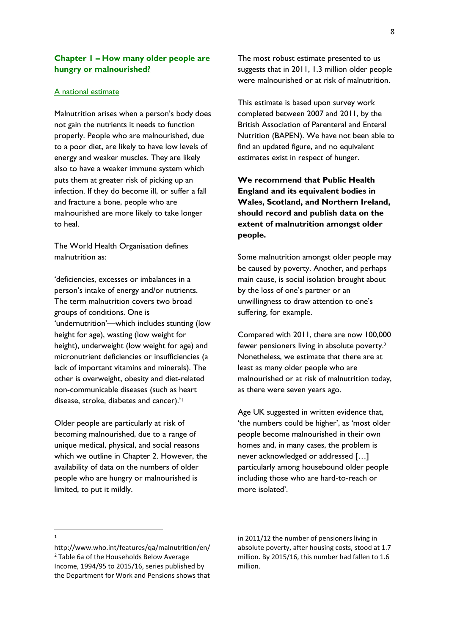## **Chapter 1 – How many older people are hungry or malnourished?**

#### A national estimate

Malnutrition arises when a person's body does not gain the nutrients it needs to function properly. People who are malnourished, due to a poor diet, are likely to have low levels of energy and weaker muscles. They are likely also to have a weaker immune system which puts them at greater risk of picking up an infection. If they do become ill, or suffer a fall and fracture a bone, people who are malnourished are more likely to take longer to heal.

The World Health Organisation defines malnutrition as:

'deficiencies, excesses or imbalances in a person's intake of energy and/or nutrients. The term malnutrition covers two broad groups of conditions. One is 'undernutrition'—which includes stunting (low height for age), wasting (low weight for height), underweight (low weight for age) and micronutrient deficiencies or insufficiencies (a lack of important vitamins and minerals). The other is overweight, obesity and diet-related non-communicable diseases (such as heart disease, stroke, diabetes and cancer).'<sup>1</sup>

Older people are particularly at risk of becoming malnourished, due to a range of unique medical, physical, and social reasons which we outline in Chapter 2. However, the availability of data on the numbers of older people who are hungry or malnourished is limited, to put it mildly.

The most robust estimate presented to us suggests that in 2011, 1.3 million older people were malnourished or at risk of malnutrition.

This estimate is based upon survey work completed between 2007 and 2011, by the British Association of Parenteral and Enteral Nutrition (BAPEN). We have not been able to find an updated figure, and no equivalent estimates exist in respect of hunger.

**We recommend that Public Health England and its equivalent bodies in Wales, Scotland, and Northern Ireland, should record and publish data on the extent of malnutrition amongst older people.** 

Some malnutrition amongst older people may be caused by poverty. Another, and perhaps main cause, is social isolation brought about by the loss of one's partner or an unwillingness to draw attention to one's suffering, for example.

Compared with 2011, there are now 100,000 fewer pensioners living in absolute poverty.<sup>2</sup> Nonetheless, we estimate that there are at least as many older people who are malnourished or at risk of malnutrition today, as there were seven years ago.

Age UK suggested in written evidence that, 'the numbers could be higher', as 'most older people become malnourished in their own homes and, in many cases, the problem is never acknowledged or addressed […] particularly among housebound older people including those who are hard-to-reach or more isolated'.

in 2011/12 the number of pensioners living in absolute poverty, after housing costs, stood at 1.7 million. By 2015/16, this number had fallen to 1.6 million.

 $\overline{\phantom{a}}$ 1

http://www.who.int/features/qa/malnutrition/en/ <sup>2</sup> Table 6a of the Households Below Average Income, 1994/95 to 2015/16, series published by the Department for Work and Pensions shows that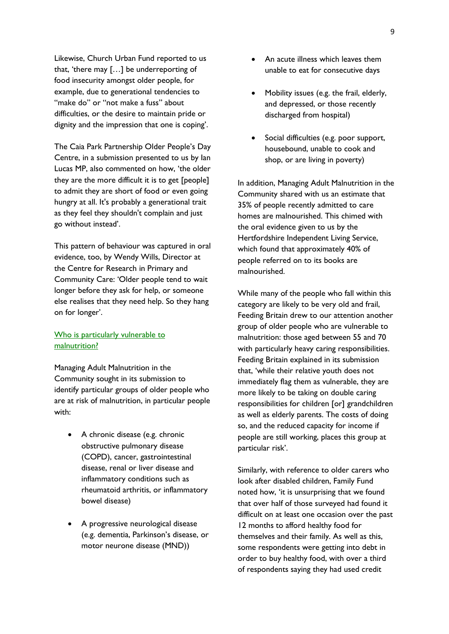Likewise, Church Urban Fund reported to us that, 'there may […] be underreporting of food insecurity amongst older people, for example, due to generational tendencies to "make do" or "not make a fuss" about difficulties, or the desire to maintain pride or dignity and the impression that one is coping'.

The Caia Park Partnership Older People's Day Centre, in a submission presented to us by Ian Lucas MP, also commented on how, 'the older they are the more difficult it is to get [people] to admit they are short of food or even going hungry at all. It's probably a generational trait as they feel they shouldn't complain and just go without instead'.

This pattern of behaviour was captured in oral evidence, too, by Wendy Wills, Director at the Centre for Research in Primary and Community Care: 'Older people tend to wait longer before they ask for help, or someone else realises that they need help. So they hang on for longer'.

## Who is particularly vulnerable to malnutrition?

Managing Adult Malnutrition in the Community sought in its submission to identify particular groups of older people who are at risk of malnutrition, in particular people with:

- A chronic disease (e.g. chronic obstructive pulmonary disease (COPD), cancer, gastrointestinal disease, renal or liver disease and inflammatory conditions such as rheumatoid arthritis, or inflammatory bowel disease)
- A progressive neurological disease (e.g. dementia, Parkinson's disease, or motor neurone disease (MND))
- An acute illness which leaves them unable to eat for consecutive days
- Mobility issues (e.g. the frail, elderly, and depressed, or those recently discharged from hospital)
- Social difficulties (e.g. poor support, housebound, unable to cook and shop, or are living in poverty)

In addition, Managing Adult Malnutrition in the Community shared with us an estimate that 35% of people recently admitted to care homes are malnourished. This chimed with the oral evidence given to us by the Hertfordshire Independent Living Service, which found that approximately 40% of people referred on to its books are malnourished.

While many of the people who fall within this category are likely to be very old and frail, Feeding Britain drew to our attention another group of older people who are vulnerable to malnutrition: those aged between 55 and 70 with particularly heavy caring responsibilities. Feeding Britain explained in its submission that, 'while their relative youth does not immediately flag them as vulnerable, they are more likely to be taking on double caring responsibilities for children [or] grandchildren as well as elderly parents. The costs of doing so, and the reduced capacity for income if people are still working, places this group at particular risk'.

Similarly, with reference to older carers who look after disabled children, Family Fund noted how, 'it is unsurprising that we found that over half of those surveyed had found it difficult on at least one occasion over the past 12 months to afford healthy food for themselves and their family. As well as this, some respondents were getting into debt in order to buy healthy food, with over a third of respondents saying they had used credit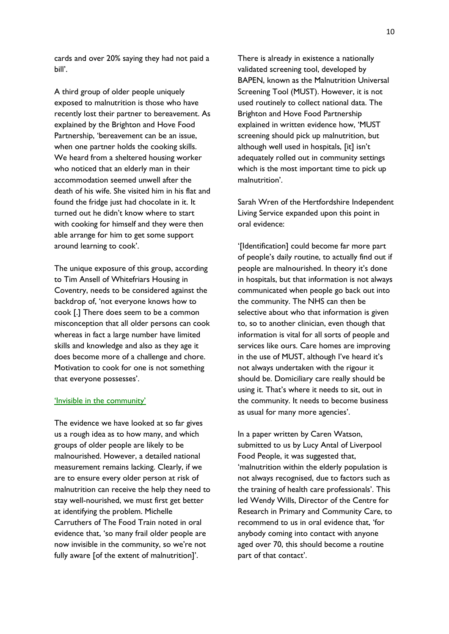cards and over 20% saying they had not paid a bill'.

A third group of older people uniquely exposed to malnutrition is those who have recently lost their partner to bereavement. As explained by the Brighton and Hove Food Partnership, 'bereavement can be an issue, when one partner holds the cooking skills. We heard from a sheltered housing worker who noticed that an elderly man in their accommodation seemed unwell after the death of his wife. She visited him in his flat and found the fridge just had chocolate in it. It turned out he didn't know where to start with cooking for himself and they were then able arrange for him to get some support around learning to cook'.

The unique exposure of this group, according to Tim Ansell of Whitefriars Housing in Coventry, needs to be considered against the backdrop of, 'not everyone knows how to cook [.] There does seem to be a common misconception that all older persons can cook whereas in fact a large number have limited skills and knowledge and also as they age it does become more of a challenge and chore. Motivation to cook for one is not something that everyone possesses'.

#### 'Invisible in the community'

The evidence we have looked at so far gives us a rough idea as to how many, and which groups of older people are likely to be malnourished. However, a detailed national measurement remains lacking. Clearly, if we are to ensure every older person at risk of malnutrition can receive the help they need to stay well-nourished, we must first get better at identifying the problem. Michelle Carruthers of The Food Train noted in oral evidence that, 'so many frail older people are now invisible in the community, so we're not fully aware [of the extent of malnutrition]'.

There is already in existence a nationally validated screening tool, developed by BAPEN, known as the Malnutrition Universal Screening Tool (MUST). However, it is not used routinely to collect national data. The Brighton and Hove Food Partnership explained in written evidence how, 'MUST screening should pick up malnutrition, but although well used in hospitals, [it] isn't adequately rolled out in community settings which is the most important time to pick up malnutrition'.

Sarah Wren of the Hertfordshire Independent Living Service expanded upon this point in oral evidence:

'[Identification] could become far more part of people's daily routine, to actually find out if people are malnourished. In theory it's done in hospitals, but that information is not always communicated when people go back out into the community. The NHS can then be selective about who that information is given to, so to another clinician, even though that information is vital for all sorts of people and services like ours. Care homes are improving in the use of MUST, although I've heard it's not always undertaken with the rigour it should be. Domiciliary care really should be using it. That's where it needs to sit, out in the community. It needs to become business as usual for many more agencies'.

In a paper written by Caren Watson, submitted to us by Lucy Antal of Liverpool Food People, it was suggested that, 'malnutrition within the elderly population is not always recognised, due to factors such as the training of health care professionals'. This led Wendy Wills, Director of the Centre for Research in Primary and Community Care, to recommend to us in oral evidence that, 'for anybody coming into contact with anyone aged over 70, this should become a routine part of that contact'.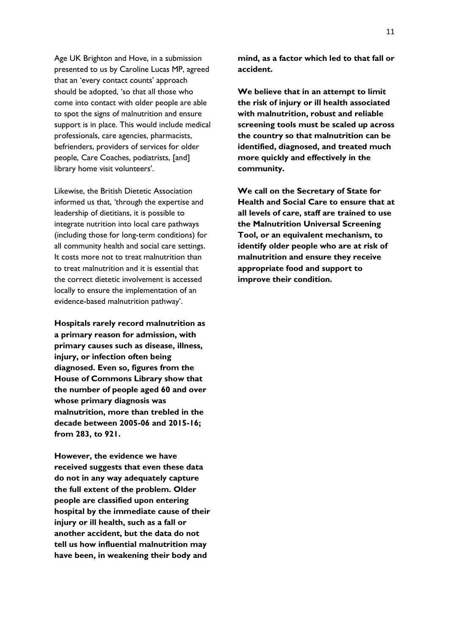Age UK Brighton and Hove, in a submission presented to us by Caroline Lucas MP, agreed that an 'every contact counts' approach should be adopted, 'so that all those who come into contact with older people are able to spot the signs of malnutrition and ensure support is in place. This would include medical professionals, care agencies, pharmacists, befrienders, providers of services for older people, Care Coaches, podiatrists, [and] library home visit volunteers'.

Likewise, the British Dietetic Association informed us that, 'through the expertise and leadership of dietitians, it is possible to integrate nutrition into local care pathways (including those for long-term conditions) for all community health and social care settings. It costs more not to treat malnutrition than to treat malnutrition and it is essential that the correct dietetic involvement is accessed locally to ensure the implementation of an evidence-based malnutrition pathway'.

**Hospitals rarely record malnutrition as a primary reason for admission, with primary causes such as disease, illness, injury, or infection often being diagnosed. Even so, figures from the House of Commons Library show that the number of people aged 60 and over whose primary diagnosis was malnutrition, more than trebled in the decade between 2005-06 and 2015-16; from 283, to 921.**

**However, the evidence we have received suggests that even these data do not in any way adequately capture the full extent of the problem. Older people are classified upon entering hospital by the immediate cause of their injury or ill health, such as a fall or another accident, but the data do not tell us how influential malnutrition may have been, in weakening their body and** 

**mind, as a factor which led to that fall or accident.** 

**We believe that in an attempt to limit the risk of injury or ill health associated with malnutrition, robust and reliable screening tools must be scaled up across the country so that malnutrition can be identified, diagnosed, and treated much more quickly and effectively in the community.**

**We call on the Secretary of State for Health and Social Care to ensure that at all levels of care, staff are trained to use the Malnutrition Universal Screening Tool, or an equivalent mechanism, to identify older people who are at risk of malnutrition and ensure they receive appropriate food and support to improve their condition.**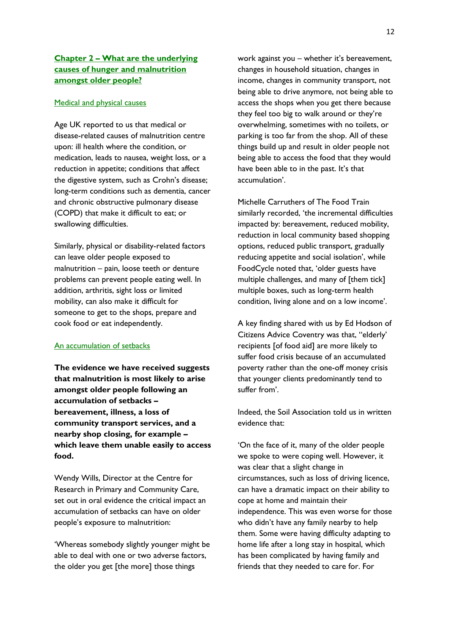## **Chapter 2 – What are the underlying causes of hunger and malnutrition amongst older people?**

#### Medical and physical causes

Age UK reported to us that medical or disease-related causes of malnutrition centre upon: ill health where the condition, or medication, leads to nausea, weight loss, or a reduction in appetite; conditions that affect the digestive system, such as Crohn's disease; long-term conditions such as dementia, cancer and chronic obstructive pulmonary disease (COPD) that make it difficult to eat; or swallowing difficulties.

Similarly, physical or disability-related factors can leave older people exposed to malnutrition – pain, loose teeth or denture problems can prevent people eating well. In addition, arthritis, sight loss or limited mobility, can also make it difficult for someone to get to the shops, prepare and cook food or eat independently.

### An accumulation of setbacks

**The evidence we have received suggests that malnutrition is most likely to arise amongst older people following an accumulation of setbacks – bereavement, illness, a loss of community transport services, and a nearby shop closing, for example – which leave them unable easily to access food.** 

Wendy Wills, Director at the Centre for Research in Primary and Community Care, set out in oral evidence the critical impact an accumulation of setbacks can have on older people's exposure to malnutrition:

'Whereas somebody slightly younger might be able to deal with one or two adverse factors, the older you get [the more] those things

work against you – whether it's bereavement, changes in household situation, changes in income, changes in community transport, not being able to drive anymore, not being able to access the shops when you get there because they feel too big to walk around or they're overwhelming, sometimes with no toilets, or parking is too far from the shop. All of these things build up and result in older people not being able to access the food that they would have been able to in the past. It's that accumulation'.

Michelle Carruthers of The Food Train similarly recorded, 'the incremental difficulties impacted by: bereavement, reduced mobility, reduction in local community based shopping options, reduced public transport, gradually reducing appetite and social isolation', while FoodCycle noted that, 'older guests have multiple challenges, and many of [them tick] multiple boxes, such as long-term health condition, living alone and on a low income'.

A key finding shared with us by Ed Hodson of Citizens Advice Coventry was that, ''elderly' recipients [of food aid] are more likely to suffer food crisis because of an accumulated poverty rather than the one-off money crisis that younger clients predominantly tend to suffer from'.

Indeed, the Soil Association told us in written evidence that:

'On the face of it, many of the older people we spoke to were coping well. However, it was clear that a slight change in circumstances, such as loss of driving licence, can have a dramatic impact on their ability to cope at home and maintain their independence. This was even worse for those who didn't have any family nearby to help them. Some were having difficulty adapting to home life after a long stay in hospital, which has been complicated by having family and friends that they needed to care for. For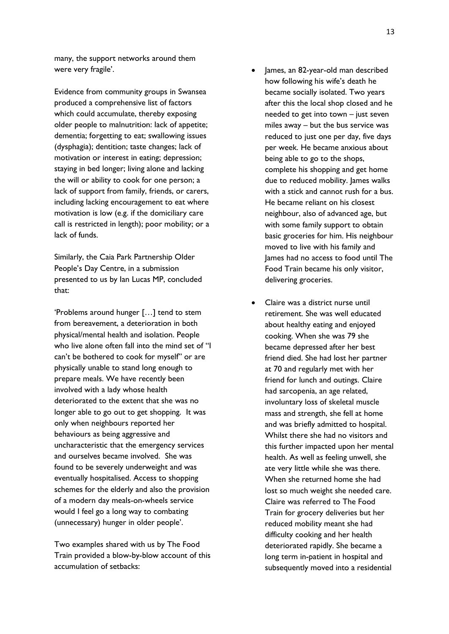many, the support networks around them were very fragile'.

Evidence from community groups in Swansea produced a comprehensive list of factors which could accumulate, thereby exposing older people to malnutrition: lack of appetite; dementia; forgetting to eat; swallowing issues (dysphagia); dentition; taste changes; lack of motivation or interest in eating; depression; staying in bed longer; living alone and lacking the will or ability to cook for one person; a lack of support from family, friends, or carers, including lacking encouragement to eat where motivation is low (e.g. if the domiciliary care call is restricted in length); poor mobility; or a lack of funds.

Similarly, the Caia Park Partnership Older People's Day Centre, in a submission presented to us by Ian Lucas MP, concluded that:

'Problems around hunger […] tend to stem from bereavement, a deterioration in both physical/mental health and isolation. People who live alone often fall into the mind set of "I can't be bothered to cook for myself" or are physically unable to stand long enough to prepare meals. We have recently been involved with a lady whose health deteriorated to the extent that she was no longer able to go out to get shopping. It was only when neighbours reported her behaviours as being aggressive and uncharacteristic that the emergency services and ourselves became involved. She was found to be severely underweight and was eventually hospitalised. Access to shopping schemes for the elderly and also the provision of a modern day meals-on-wheels service would I feel go a long way to combating (unnecessary) hunger in older people'.

Two examples shared with us by The Food Train provided a blow-by-blow account of this accumulation of setbacks:

- James, an 82-year-old man described how following his wife's death he became socially isolated. Two years after this the local shop closed and he needed to get into town – just seven miles away – but the bus service was reduced to just one per day, five days per week. He became anxious about being able to go to the shops, complete his shopping and get home due to reduced mobility. James walks with a stick and cannot rush for a bus. He became reliant on his closest neighbour, also of advanced age, but with some family support to obtain basic groceries for him. His neighbour moved to live with his family and James had no access to food until The Food Train became his only visitor, delivering groceries.
- Claire was a district nurse until retirement. She was well educated about healthy eating and enjoyed cooking. When she was 79 she became depressed after her best friend died. She had lost her partner at 70 and regularly met with her friend for lunch and outings. Claire had sarcopenia, an age related, involuntary loss of skeletal muscle mass and strength, she fell at home and was briefly admitted to hospital. Whilst there she had no visitors and this further impacted upon her mental health. As well as feeling unwell, she ate very little while she was there. When she returned home she had lost so much weight she needed care. Claire was referred to The Food Train for grocery deliveries but her reduced mobility meant she had difficulty cooking and her health deteriorated rapidly. She became a long term in-patient in hospital and subsequently moved into a residential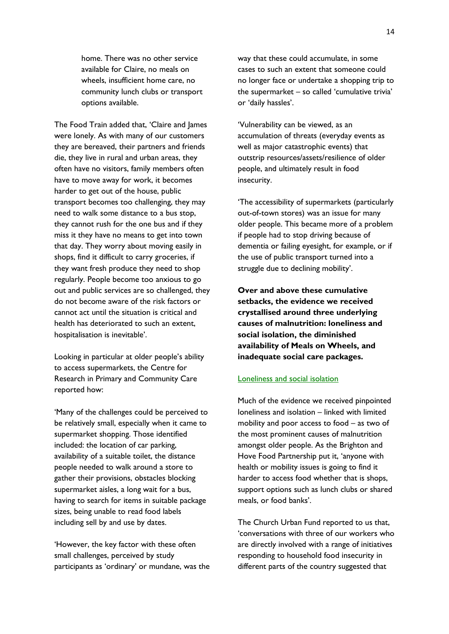home. There was no other service available for Claire, no meals on wheels, insufficient home care, no community lunch clubs or transport options available.

The Food Train added that, 'Claire and James were lonely. As with many of our customers they are bereaved, their partners and friends die, they live in rural and urban areas, they often have no visitors, family members often have to move away for work, it becomes harder to get out of the house, public transport becomes too challenging, they may need to walk some distance to a bus stop, they cannot rush for the one bus and if they miss it they have no means to get into town that day. They worry about moving easily in shops, find it difficult to carry groceries, if they want fresh produce they need to shop regularly. People become too anxious to go out and public services are so challenged, they do not become aware of the risk factors or cannot act until the situation is critical and health has deteriorated to such an extent, hospitalisation is inevitable'.

Looking in particular at older people's ability to access supermarkets, the Centre for Research in Primary and Community Care reported how:

'Many of the challenges could be perceived to be relatively small, especially when it came to supermarket shopping. Those identified included: the location of car parking, availability of a suitable toilet, the distance people needed to walk around a store to gather their provisions, obstacles blocking supermarket aisles, a long wait for a bus, having to search for items in suitable package sizes, being unable to read food labels including sell by and use by dates.

'However, the key factor with these often small challenges, perceived by study participants as 'ordinary' or mundane, was the way that these could accumulate, in some cases to such an extent that someone could no longer face or undertake a shopping trip to the supermarket – so called 'cumulative trivia' or 'daily hassles'.

'Vulnerability can be viewed, as an accumulation of threats (everyday events as well as major catastrophic events) that outstrip resources/assets/resilience of older people, and ultimately result in food insecurity.

'The accessibility of supermarkets (particularly out-of-town stores) was an issue for many older people. This became more of a problem if people had to stop driving because of dementia or failing eyesight, for example, or if the use of public transport turned into a struggle due to declining mobility'.

**Over and above these cumulative setbacks, the evidence we received crystallised around three underlying causes of malnutrition: loneliness and social isolation, the diminished availability of Meals on Wheels, and inadequate social care packages.** 

#### Loneliness and social isolation

Much of the evidence we received pinpointed loneliness and isolation – linked with limited mobility and poor access to food – as two of the most prominent causes of malnutrition amongst older people. As the Brighton and Hove Food Partnership put it, 'anyone with health or mobility issues is going to find it harder to access food whether that is shops, support options such as lunch clubs or shared meals, or food banks'.

The Church Urban Fund reported to us that, 'conversations with three of our workers who are directly involved with a range of initiatives responding to household food insecurity in different parts of the country suggested that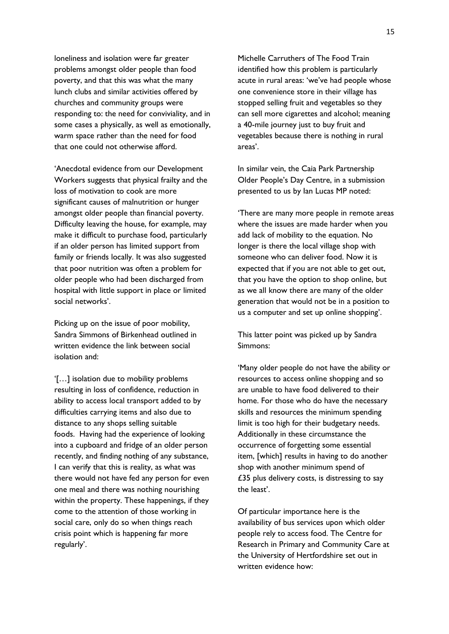loneliness and isolation were far greater problems amongst older people than food poverty, and that this was what the many lunch clubs and similar activities offered by churches and community groups were responding to: the need for conviviality, and in some cases a physically, as well as emotionally, warm space rather than the need for food that one could not otherwise afford.

'Anecdotal evidence from our Development Workers suggests that physical frailty and the loss of motivation to cook are more significant causes of malnutrition or hunger amongst older people than financial poverty. Difficulty leaving the house, for example, may make it difficult to purchase food, particularly if an older person has limited support from family or friends locally. It was also suggested that poor nutrition was often a problem for older people who had been discharged from hospital with little support in place or limited social networks'.

Picking up on the issue of poor mobility, Sandra Simmons of Birkenhead outlined in written evidence the link between social isolation and:

'[…] isolation due to mobility problems resulting in loss of confidence, reduction in ability to access local transport added to by difficulties carrying items and also due to distance to any shops selling suitable foods. Having had the experience of looking into a cupboard and fridge of an older person recently, and finding nothing of any substance, I can verify that this is reality, as what was there would not have fed any person for even one meal and there was nothing nourishing within the property. These happenings, if they come to the attention of those working in social care, only do so when things reach crisis point which is happening far more regularly'.

Michelle Carruthers of The Food Train identified how this problem is particularly acute in rural areas: 'we've had people whose one convenience store in their village has stopped selling fruit and vegetables so they can sell more cigarettes and alcohol; meaning a 40-mile journey just to buy fruit and vegetables because there is nothing in rural areas'.

In similar vein, the Caia Park Partnership Older People's Day Centre, in a submission presented to us by Ian Lucas MP noted:

'There are many more people in remote areas where the issues are made harder when you add lack of mobility to the equation. No longer is there the local village shop with someone who can deliver food. Now it is expected that if you are not able to get out, that you have the option to shop online, but as we all know there are many of the older generation that would not be in a position to us a computer and set up online shopping'.

This latter point was picked up by Sandra Simmons:

'Many older people do not have the ability or resources to access online shopping and so are unable to have food delivered to their home. For those who do have the necessary skills and resources the minimum spending limit is too high for their budgetary needs. Additionally in these circumstance the occurrence of forgetting some essential item, [which] results in having to do another shop with another minimum spend of £35 plus delivery costs, is distressing to say the least'.

Of particular importance here is the availability of bus services upon which older people rely to access food. The Centre for Research in Primary and Community Care at the University of Hertfordshire set out in written evidence how: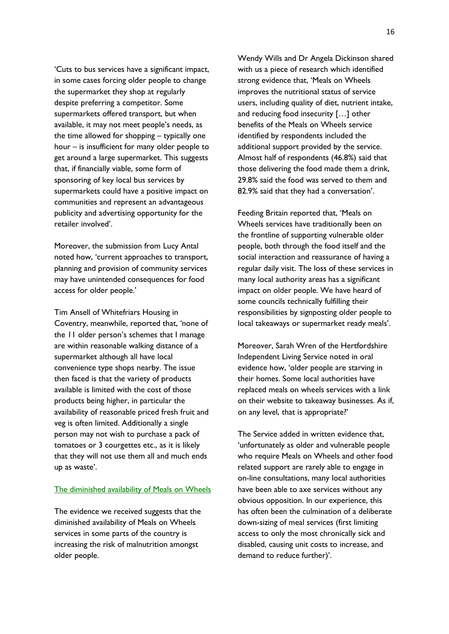'Cuts to bus services have a significant impact, in some cases forcing older people to change the supermarket they shop at regularly despite preferring a competitor. Some supermarkets offered transport, but when available, it may not meet people's needs, as the time allowed for shopping – typically one hour – is insufficient for many older people to get around a large supermarket. This suggests that, if financially viable, some form of sponsoring of key local bus services by supermarkets could have a positive impact on communities and represent an advantageous publicity and advertising opportunity for the retailer involved'.

Moreover, the submission from Lucy Antal noted how, 'current approaches to transport, planning and provision of community services may have unintended consequences for food access for older people.'

Tim Ansell of Whitefriars Housing in Coventry, meanwhile, reported that, 'none of the 11 older person's schemes that I manage are within reasonable walking distance of a supermarket although all have local convenience type shops nearby. The issue then faced is that the variety of products available is limited with the cost of those products being higher, in particular the availability of reasonable priced fresh fruit and veg is often limited. Additionally a single person may not wish to purchase a pack of tomatoes or 3 courgettes etc., as it is likely that they will not use them all and much ends up as waste'.

#### The diminished availability of Meals on Wheels

The evidence we received suggests that the diminished availability of Meals on Wheels services in some parts of the country is increasing the risk of malnutrition amongst older people.

Wendy Wills and Dr Angela Dickinson shared with us a piece of research which identified strong evidence that, 'Meals on Wheels improves the nutritional status of service users, including quality of diet, nutrient intake, and reducing food insecurity […] other benefits of the Meals on Wheels service identified by respondents included the additional support provided by the service. Almost half of respondents (46.8%) said that those delivering the food made them a drink, 29.8% said the food was served to them and 82.9% said that they had a conversation'.

Feeding Britain reported that, 'Meals on Wheels services have traditionally been on the frontline of supporting vulnerable older people, both through the food itself and the social interaction and reassurance of having a regular daily visit. The loss of these services in many local authority areas has a significant impact on older people. We have heard of some councils technically fulfilling their responsibilities by signposting older people to local takeaways or supermarket ready meals'.

Moreover, Sarah Wren of the Hertfordshire Independent Living Service noted in oral evidence how, 'older people are starving in their homes. Some local authorities have replaced meals on wheels services with a link on their website to takeaway businesses. As if, on any level, that is appropriate?'

The Service added in written evidence that, 'unfortunately as older and vulnerable people who require Meals on Wheels and other food related support are rarely able to engage in on-line consultations, many local authorities have been able to axe services without any obvious opposition. In our experience, this has often been the culmination of a deliberate down-sizing of meal services (first limiting access to only the most chronically sick and disabled, causing unit costs to increase, and demand to reduce further)'.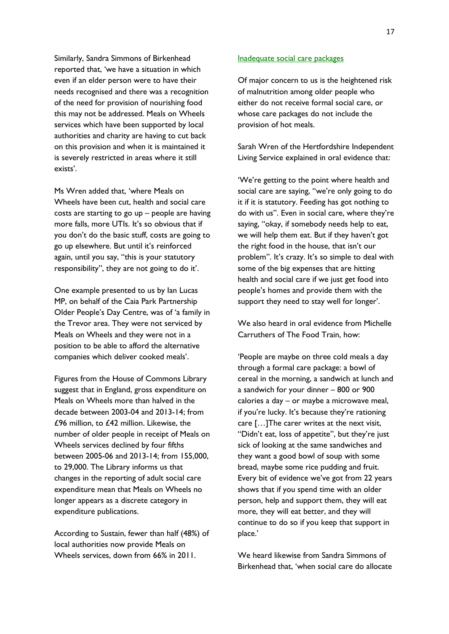Similarly, Sandra Simmons of Birkenhead reported that, 'we have a situation in which even if an elder person were to have their needs recognised and there was a recognition of the need for provision of nourishing food this may not be addressed. Meals on Wheels services which have been supported by local authorities and charity are having to cut back on this provision and when it is maintained it is severely restricted in areas where it still exists'.

Ms Wren added that, 'where Meals on Wheels have been cut, health and social care costs are starting to go up – people are having more falls, more UTIs. It's so obvious that if you don't do the basic stuff, costs are going to go up elsewhere. But until it's reinforced again, until you say, "this is your statutory responsibility", they are not going to do it'.

One example presented to us by Ian Lucas MP, on behalf of the Caia Park Partnership Older People's Day Centre, was of 'a family in the Trevor area. They were not serviced by Meals on Wheels and they were not in a position to be able to afford the alternative companies which deliver cooked meals'.

Figures from the House of Commons Library suggest that in England, gross expenditure on Meals on Wheels more than halved in the decade between 2003-04 and 2013-14; from £96 million, to £42 million. Likewise, the number of older people in receipt of Meals on Wheels services declined by four fifths between 2005-06 and 2013-14; from 155,000, to 29,000. The Library informs us that changes in the reporting of adult social care expenditure mean that Meals on Wheels no longer appears as a discrete category in expenditure publications.

According to Sustain, fewer than half (48%) of local authorities now provide Meals on Wheels services, down from 66% in 2011.

#### Inadequate social care packages

Of major concern to us is the heightened risk of malnutrition among older people who either do not receive formal social care, or whose care packages do not include the provision of hot meals.

Sarah Wren of the Hertfordshire Independent Living Service explained in oral evidence that:

'We're getting to the point where health and social care are saying, "we're only going to do it if it is statutory. Feeding has got nothing to do with us". Even in social care, where they're saying, "okay, if somebody needs help to eat, we will help them eat. But if they haven't got the right food in the house, that isn't our problem". It's crazy. It's so simple to deal with some of the big expenses that are hitting health and social care if we just get food into people's homes and provide them with the support they need to stay well for longer'.

We also heard in oral evidence from Michelle Carruthers of The Food Train, how:

'People are maybe on three cold meals a day through a formal care package: a bowl of cereal in the morning, a sandwich at lunch and a sandwich for your dinner – 800 or 900 calories a day – or maybe a microwave meal, if you're lucky. It's because they're rationing care […]The carer writes at the next visit, "Didn't eat, loss of appetite", but they're just sick of looking at the same sandwiches and they want a good bowl of soup with some bread, maybe some rice pudding and fruit. Every bit of evidence we've got from 22 years shows that if you spend time with an older person, help and support them, they will eat more, they will eat better, and they will continue to do so if you keep that support in place.'

We heard likewise from Sandra Simmons of Birkenhead that, 'when social care do allocate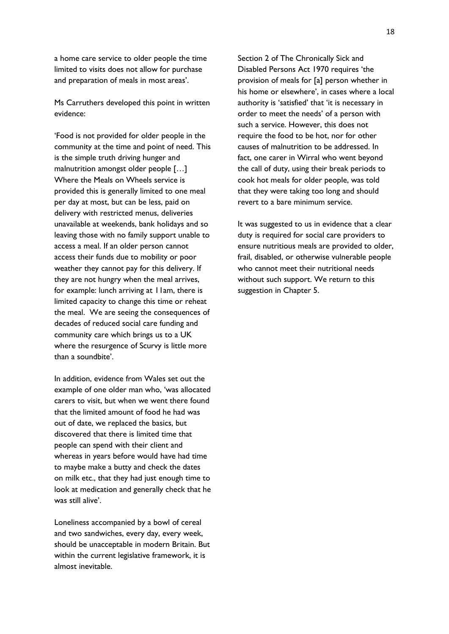a home care service to older people the time limited to visits does not allow for purchase and preparation of meals in most areas'.

Ms Carruthers developed this point in written evidence:

'Food is not provided for older people in the community at the time and point of need. This is the simple truth driving hunger and malnutrition amongst older people […] Where the Meals on Wheels service is provided this is generally limited to one meal per day at most, but can be less, paid on delivery with restricted menus, deliveries unavailable at weekends, bank holidays and so leaving those with no family support unable to access a meal. If an older person cannot access their funds due to mobility or poor weather they cannot pay for this delivery. If they are not hungry when the meal arrives, for example: lunch arriving at 11am, there is limited capacity to change this time or reheat the meal. We are seeing the consequences of decades of reduced social care funding and community care which brings us to a UK where the resurgence of Scurvy is little more than a soundbite'.

In addition, evidence from Wales set out the example of one older man who, 'was allocated carers to visit, but when we went there found that the limited amount of food he had was out of date, we replaced the basics, but discovered that there is limited time that people can spend with their client and whereas in years before would have had time to maybe make a butty and check the dates on milk etc., that they had just enough time to look at medication and generally check that he was still alive'.

Loneliness accompanied by a bowl of cereal and two sandwiches, every day, every week, should be unacceptable in modern Britain. But within the current legislative framework, it is almost inevitable.

Section 2 of The Chronically Sick and Disabled Persons Act 1970 requires 'the provision of meals for [a] person whether in his home or elsewhere', in cases where a local authority is 'satisfied' that 'it is necessary in order to meet the needs' of a person with such a service. However, this does not require the food to be hot, nor for other causes of malnutrition to be addressed. In fact, one carer in Wirral who went beyond the call of duty, using their break periods to cook hot meals for older people, was told that they were taking too long and should revert to a bare minimum service.

It was suggested to us in evidence that a clear duty is required for social care providers to ensure nutritious meals are provided to older, frail, disabled, or otherwise vulnerable people who cannot meet their nutritional needs without such support. We return to this suggestion in Chapter 5.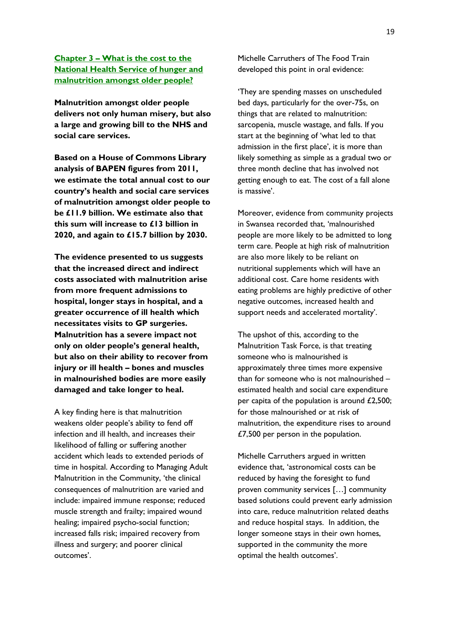**Chapter 3 – What is the cost to the National Health Service of hunger and malnutrition amongst older people?**

**Malnutrition amongst older people delivers not only human misery, but also a large and growing bill to the NHS and social care services.** 

**Based on a House of Commons Library analysis of BAPEN figures from 2011, we estimate the total annual cost to our country's health and social care services of malnutrition amongst older people to be £11.9 billion. We estimate also that this sum will increase to £13 billion in 2020, and again to £15.7 billion by 2030.** 

**The evidence presented to us suggests that the increased direct and indirect costs associated with malnutrition arise from more frequent admissions to hospital, longer stays in hospital, and a greater occurrence of ill health which necessitates visits to GP surgeries. Malnutrition has a severe impact not only on older people's general health, but also on their ability to recover from injury or ill health – bones and muscles in malnourished bodies are more easily damaged and take longer to heal.** 

A key finding here is that malnutrition weakens older people's ability to fend off infection and ill health, and increases their likelihood of falling or suffering another accident which leads to extended periods of time in hospital. According to Managing Adult Malnutrition in the Community, 'the clinical consequences of malnutrition are varied and include: impaired immune response; reduced muscle strength and frailty; impaired wound healing; impaired psycho-social function; increased falls risk; impaired recovery from illness and surgery; and poorer clinical outcomes'.

Michelle Carruthers of The Food Train developed this point in oral evidence:

'They are spending masses on unscheduled bed days, particularly for the over-75s, on things that are related to malnutrition: sarcopenia, muscle wastage, and falls. If you start at the beginning of 'what led to that admission in the first place', it is more than likely something as simple as a gradual two or three month decline that has involved not getting enough to eat. The cost of a fall alone is massive'.

Moreover, evidence from community projects in Swansea recorded that, 'malnourished people are more likely to be admitted to long term care. People at high risk of malnutrition are also more likely to be reliant on nutritional supplements which will have an additional cost. Care home residents with eating problems are highly predictive of other negative outcomes, increased health and support needs and accelerated mortality'.

The upshot of this, according to the Malnutrition Task Force, is that treating someone who is malnourished is approximately three times more expensive than for someone who is not malnourished – estimated health and social care expenditure per capita of the population is around £2,500; for those malnourished or at risk of malnutrition, the expenditure rises to around £7,500 per person in the population.

Michelle Carruthers argued in written evidence that, 'astronomical costs can be reduced by having the foresight to fund proven community services […] community based solutions could prevent early admission into care, reduce malnutrition related deaths and reduce hospital stays. In addition, the longer someone stays in their own homes, supported in the community the more optimal the health outcomes'.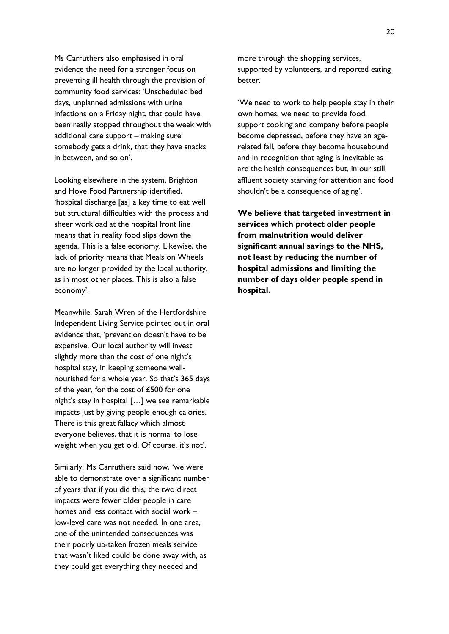Ms Carruthers also emphasised in oral evidence the need for a stronger focus on preventing ill health through the provision of community food services: 'Unscheduled bed days, unplanned admissions with urine infections on a Friday night, that could have been really stopped throughout the week with additional care support – making sure somebody gets a drink, that they have snacks in between, and so on'.

Looking elsewhere in the system, Brighton and Hove Food Partnership identified, 'hospital discharge [as] a key time to eat well but structural difficulties with the process and sheer workload at the hospital front line means that in reality food slips down the agenda. This is a false economy. Likewise, the lack of priority means that Meals on Wheels are no longer provided by the local authority, as in most other places. This is also a false economy'.

Meanwhile, Sarah Wren of the Hertfordshire Independent Living Service pointed out in oral evidence that, 'prevention doesn't have to be expensive. Our local authority will invest slightly more than the cost of one night's hospital stay, in keeping someone wellnourished for a whole year. So that's 365 days of the year, for the cost of £500 for one night's stay in hospital […] we see remarkable impacts just by giving people enough calories. There is this great fallacy which almost everyone believes, that it is normal to lose weight when you get old. Of course, it's not'.

Similarly, Ms Carruthers said how, 'we were able to demonstrate over a significant number of years that if you did this, the two direct impacts were fewer older people in care homes and less contact with social work – low-level care was not needed. In one area, one of the unintended consequences was their poorly up-taken frozen meals service that wasn't liked could be done away with, as they could get everything they needed and

more through the shopping services, supported by volunteers, and reported eating better.

'We need to work to help people stay in their own homes, we need to provide food, support cooking and company before people become depressed, before they have an agerelated fall, before they become housebound and in recognition that aging is inevitable as are the health consequences but, in our still affluent society starving for attention and food shouldn't be a consequence of aging'.

**We believe that targeted investment in services which protect older people from malnutrition would deliver significant annual savings to the NHS, not least by reducing the number of hospital admissions and limiting the number of days older people spend in hospital.**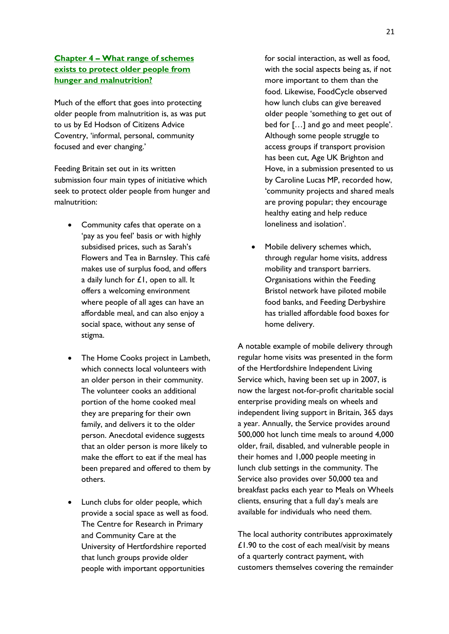## **Chapter 4 – What range of schemes exists to protect older people from hunger and malnutrition?**

Much of the effort that goes into protecting older people from malnutrition is, as was put to us by Ed Hodson of Citizens Advice Coventry, 'informal, personal, community focused and ever changing.'

Feeding Britain set out in its written submission four main types of initiative which seek to protect older people from hunger and malnutrition:

- Community cafes that operate on a 'pay as you feel' basis or with highly subsidised prices, such as Sarah's Flowers and Tea in Barnsley. This café makes use of surplus food, and offers a daily lunch for £1, open to all. It offers a welcoming environment where people of all ages can have an affordable meal, and can also enjoy a social space, without any sense of stigma.
- The Home Cooks project in Lambeth, which connects local volunteers with an older person in their community. The volunteer cooks an additional portion of the home cooked meal they are preparing for their own family, and delivers it to the older person. Anecdotal evidence suggests that an older person is more likely to make the effort to eat if the meal has been prepared and offered to them by others.
- Lunch clubs for older people, which provide a social space as well as food. The Centre for Research in Primary and Community Care at the University of Hertfordshire reported that lunch groups provide older people with important opportunities

for social interaction, as well as food, with the social aspects being as, if not more important to them than the food. Likewise, FoodCycle observed how lunch clubs can give bereaved older people 'something to get out of bed for […] and go and meet people'. Although some people struggle to access groups if transport provision has been cut, Age UK Brighton and Hove, in a submission presented to us by Caroline Lucas MP, recorded how, 'community projects and shared meals are proving popular; they encourage healthy eating and help reduce loneliness and isolation'.

 Mobile delivery schemes which, through regular home visits, address mobility and transport barriers. Organisations within the Feeding Bristol network have piloted mobile food banks, and Feeding Derbyshire has trialled affordable food boxes for home delivery.

A notable example of mobile delivery through regular home visits was presented in the form of the Hertfordshire Independent Living Service which, having been set up in 2007, is now the largest not-for-profit charitable social enterprise providing meals on wheels and independent living support in Britain, 365 days a year. Annually, the Service provides around 500,000 hot lunch time meals to around 4,000 older, frail, disabled, and vulnerable people in their homes and 1,000 people meeting in lunch club settings in the community. The Service also provides over 50,000 tea and breakfast packs each year to Meals on Wheels clients, ensuring that a full day's meals are available for individuals who need them.

The local authority contributes approximately £1.90 to the cost of each meal/visit by means of a quarterly contract payment, with customers themselves covering the remainder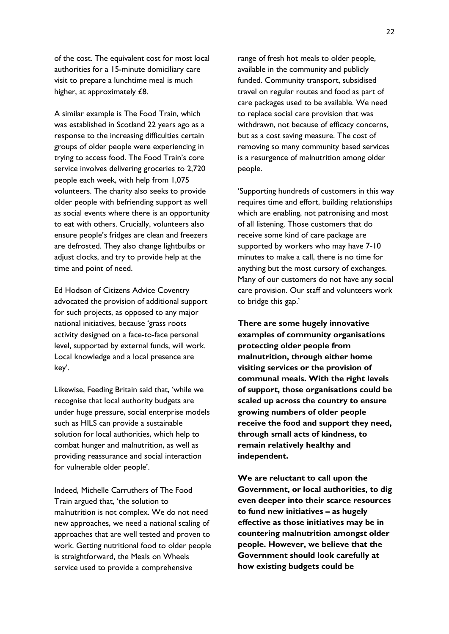of the cost. The equivalent cost for most local authorities for a 15-minute domiciliary care visit to prepare a lunchtime meal is much higher, at approximately £8.

A similar example is The Food Train, which was established in Scotland 22 years ago as a response to the increasing difficulties certain groups of older people were experiencing in trying to access food. The Food Train's core service involves delivering groceries to 2,720 people each week, with help from 1,075 volunteers. The charity also seeks to provide older people with befriending support as well as social events where there is an opportunity to eat with others. Crucially, volunteers also ensure people's fridges are clean and freezers are defrosted. They also change lightbulbs or adjust clocks, and try to provide help at the time and point of need.

Ed Hodson of Citizens Advice Coventry advocated the provision of additional support for such projects, as opposed to any major national initiatives, because 'grass roots activity designed on a face-to-face personal level, supported by external funds, will work. Local knowledge and a local presence are key'.

Likewise, Feeding Britain said that, 'while we recognise that local authority budgets are under huge pressure, social enterprise models such as HILS can provide a sustainable solution for local authorities, which help to combat hunger and malnutrition, as well as providing reassurance and social interaction for vulnerable older people'.

Indeed, Michelle Carruthers of The Food Train argued that, 'the solution to malnutrition is not complex. We do not need new approaches, we need a national scaling of approaches that are well tested and proven to work. Getting nutritional food to older people is straightforward, the Meals on Wheels service used to provide a comprehensive

range of fresh hot meals to older people, available in the community and publicly funded. Community transport, subsidised travel on regular routes and food as part of care packages used to be available. We need to replace social care provision that was withdrawn, not because of efficacy concerns, but as a cost saving measure. The cost of removing so many community based services is a resurgence of malnutrition among older people.

'Supporting hundreds of customers in this way requires time and effort, building relationships which are enabling, not patronising and most of all listening. Those customers that do receive some kind of care package are supported by workers who may have 7-10 minutes to make a call, there is no time for anything but the most cursory of exchanges. Many of our customers do not have any social care provision. Our staff and volunteers work to bridge this gap.'

**There are some hugely innovative examples of community organisations protecting older people from malnutrition, through either home visiting services or the provision of communal meals. With the right levels of support, those organisations could be scaled up across the country to ensure growing numbers of older people receive the food and support they need, through small acts of kindness, to remain relatively healthy and independent.** 

**We are reluctant to call upon the Government, or local authorities, to dig even deeper into their scarce resources to fund new initiatives – as hugely effective as those initiatives may be in countering malnutrition amongst older people. However, we believe that the Government should look carefully at how existing budgets could be**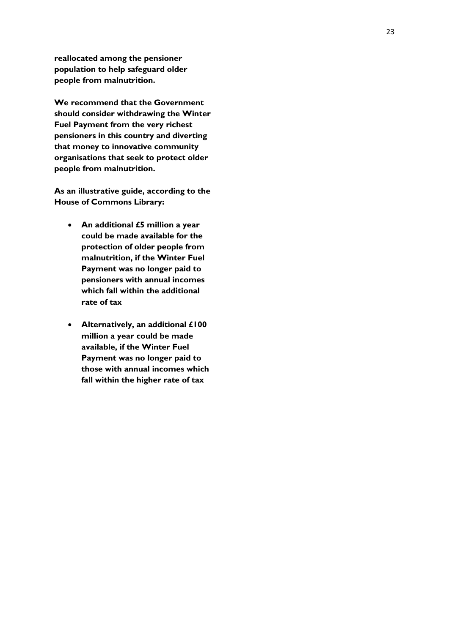**reallocated among the pensioner population to help safeguard older people from malnutrition.**

**We recommend that the Government should consider withdrawing the Winter Fuel Payment from the very richest pensioners in this country and diverting that money to innovative community organisations that seek to protect older people from malnutrition.** 

**As an illustrative guide, according to the House of Commons Library:**

- **An additional £5 million a year could be made available for the protection of older people from malnutrition, if the Winter Fuel Payment was no longer paid to pensioners with annual incomes which fall within the additional rate of tax**
- **Alternatively, an additional £100 million a year could be made available, if the Winter Fuel Payment was no longer paid to those with annual incomes which fall within the higher rate of tax**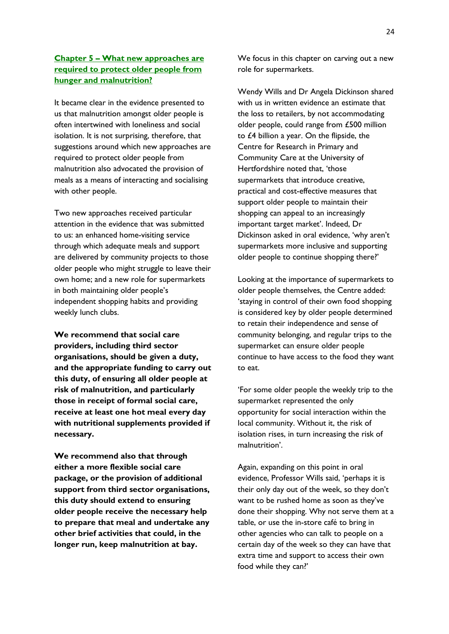## **Chapter 5 – What new approaches are required to protect older people from hunger and malnutrition?**

It became clear in the evidence presented to us that malnutrition amongst older people is often intertwined with loneliness and social isolation. It is not surprising, therefore, that suggestions around which new approaches are required to protect older people from malnutrition also advocated the provision of meals as a means of interacting and socialising with other people.

Two new approaches received particular attention in the evidence that was submitted to us: an enhanced home-visiting service through which adequate meals and support are delivered by community projects to those older people who might struggle to leave their own home; and a new role for supermarkets in both maintaining older people's independent shopping habits and providing weekly lunch clubs.

**We recommend that social care providers, including third sector organisations, should be given a duty, and the appropriate funding to carry out this duty, of ensuring all older people at risk of malnutrition, and particularly those in receipt of formal social care, receive at least one hot meal every day with nutritional supplements provided if necessary.**

**We recommend also that through either a more flexible social care package, or the provision of additional support from third sector organisations, this duty should extend to ensuring older people receive the necessary help to prepare that meal and undertake any other brief activities that could, in the longer run, keep malnutrition at bay.** 

We focus in this chapter on carving out a new role for supermarkets.

Wendy Wills and Dr Angela Dickinson shared with us in written evidence an estimate that the loss to retailers, by not accommodating older people, could range from £500 million to £4 billion a year. On the flipside, the Centre for Research in Primary and Community Care at the University of Hertfordshire noted that, 'those supermarkets that introduce creative, practical and cost-effective measures that support older people to maintain their shopping can appeal to an increasingly important target market'. Indeed, Dr Dickinson asked in oral evidence, 'why aren't supermarkets more inclusive and supporting older people to continue shopping there?'

Looking at the importance of supermarkets to older people themselves, the Centre added: 'staying in control of their own food shopping is considered key by older people determined to retain their independence and sense of community belonging, and regular trips to the supermarket can ensure older people continue to have access to the food they want to eat.

'For some older people the weekly trip to the supermarket represented the only opportunity for social interaction within the local community. Without it, the risk of isolation rises, in turn increasing the risk of malnutrition'.

Again, expanding on this point in oral evidence, Professor Wills said, 'perhaps it is their only day out of the week, so they don't want to be rushed home as soon as they've done their shopping. Why not serve them at a table, or use the in-store café to bring in other agencies who can talk to people on a certain day of the week so they can have that extra time and support to access their own food while they can?'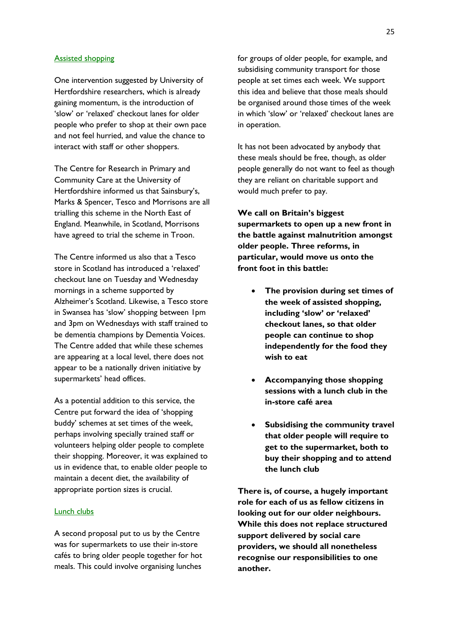#### Assisted shopping

One intervention suggested by University of Hertfordshire researchers, which is already gaining momentum, is the introduction of 'slow' or 'relaxed' checkout lanes for older people who prefer to shop at their own pace and not feel hurried, and value the chance to interact with staff or other shoppers.

The Centre for Research in Primary and Community Care at the University of Hertfordshire informed us that Sainsbury's, Marks & Spencer, Tesco and Morrisons are all trialling this scheme in the North East of England. Meanwhile, in Scotland, Morrisons have agreed to trial the scheme in Troon.

The Centre informed us also that a Tesco store in Scotland has introduced a 'relaxed' checkout lane on Tuesday and Wednesday mornings in a scheme supported by Alzheimer's Scotland. Likewise, a Tesco store in Swansea has 'slow' shopping between 1pm and 3pm on Wednesdays with staff trained to be dementia champions by Dementia Voices. The Centre added that while these schemes are appearing at a local level, there does not appear to be a nationally driven initiative by supermarkets' head offices.

As a potential addition to this service, the Centre put forward the idea of 'shopping buddy' schemes at set times of the week, perhaps involving specially trained staff or volunteers helping older people to complete their shopping. Moreover, it was explained to us in evidence that, to enable older people to maintain a decent diet, the availability of appropriate portion sizes is crucial.

#### Lunch clubs

A second proposal put to us by the Centre was for supermarkets to use their in-store cafés to bring older people together for hot meals. This could involve organising lunches

for groups of older people, for example, and subsidising community transport for those people at set times each week. We support this idea and believe that those meals should be organised around those times of the week in which 'slow' or 'relaxed' checkout lanes are in operation.

It has not been advocated by anybody that these meals should be free, though, as older people generally do not want to feel as though they are reliant on charitable support and would much prefer to pay.

**We call on Britain's biggest supermarkets to open up a new front in the battle against malnutrition amongst older people. Three reforms, in particular, would move us onto the front foot in this battle:** 

- **The provision during set times of the week of assisted shopping, including 'slow' or 'relaxed' checkout lanes, so that older people can continue to shop independently for the food they wish to eat**
- **Accompanying those shopping sessions with a lunch club in the in-store café area**
- **Subsidising the community travel that older people will require to get to the supermarket, both to buy their shopping and to attend the lunch club**

**There is, of course, a hugely important role for each of us as fellow citizens in looking out for our older neighbours. While this does not replace structured support delivered by social care providers, we should all nonetheless recognise our responsibilities to one another.**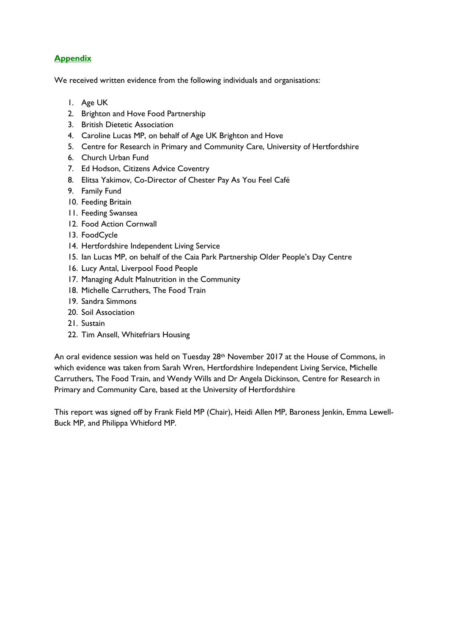# **Appendix**

We received written evidence from the following individuals and organisations:

- 1. Age UK
- 2. Brighton and Hove Food Partnership
- 3. British Dietetic Association
- 4. Caroline Lucas MP, on behalf of Age UK Brighton and Hove
- 5. Centre for Research in Primary and Community Care, University of Hertfordshire
- 6. Church Urban Fund
- 7. Ed Hodson, Citizens Advice Coventry
- 8. Elitsa Yakimov, Co-Director of Chester Pay As You Feel Café
- 9. Family Fund
- 10. Feeding Britain
- 11. Feeding Swansea
- 12. Food Action Cornwall
- 13. FoodCycle
- 14. Hertfordshire Independent Living Service
- 15. Ian Lucas MP, on behalf of the Caia Park Partnership Older People's Day Centre
- 16. Lucy Antal, Liverpool Food People
- 17. Managing Adult Malnutrition in the Community
- 18. Michelle Carruthers, The Food Train
- 19. Sandra Simmons
- 20. Soil Association
- 21. Sustain
- 22. Tim Ansell, Whitefriars Housing

An oral evidence session was held on Tuesday 28<sup>th</sup> November 2017 at the House of Commons, in which evidence was taken from Sarah Wren, Hertfordshire Independent Living Service, Michelle Carruthers, The Food Train, and Wendy Wills and Dr Angela Dickinson, Centre for Research in Primary and Community Care, based at the University of Hertfordshire

This report was signed off by Frank Field MP (Chair), Heidi Allen MP, Baroness Jenkin, Emma Lewell-Buck MP, and Philippa Whitford MP.